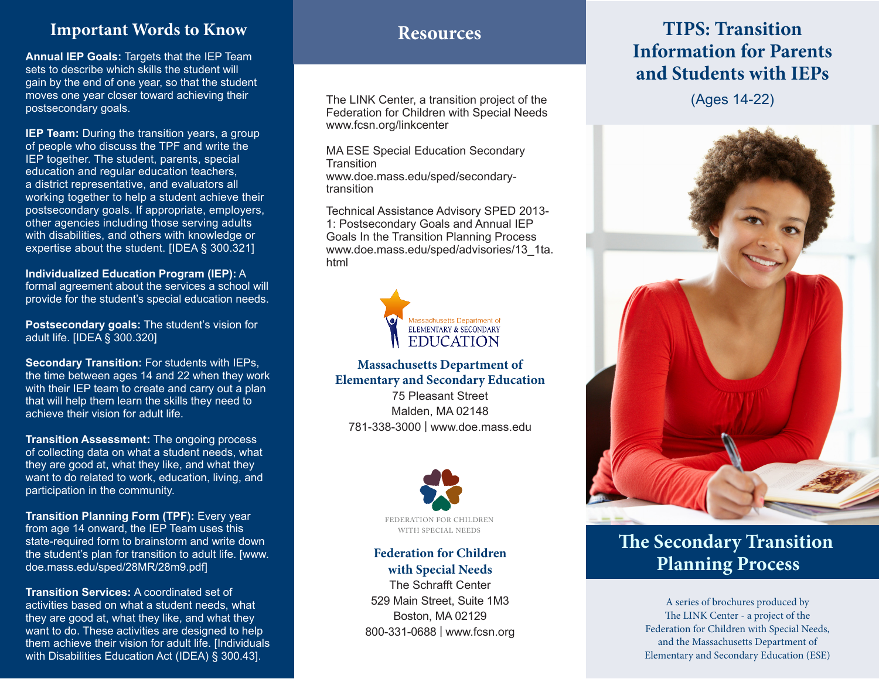# **Resources Important Words to Know**

**Annual IEP Goals:** Targets that the IEP Team sets to describe which skills the student will gain by the end of one year, so that the student moves one year closer toward achieving their postsecondary goals.

**IEP Team:** During the transition years, a group of people who discuss the TPF and write the IEP together. The student, parents, special education and regular education teachers, a district representative, and evaluators all working together to help a student achieve their postsecondary goals. If appropriate, employers, other agencies including those serving adults with disabilities, and others with knowledge or expertise about the student. [IDEA § 300.321]

**Individualized Education Program (IEP):** A formal agreement about the services a school will provide for the student's special education needs.

**Postsecondary goals:** The student's vision for adult life. [IDEA § 300.320]

**Secondary Transition:** For students with IEPs, the time between ages 14 and 22 when they work with their IEP team to create and carry out a plan that will help them learn the skills they need to achieve their vision for adult life.

**Transition Assessment:** The ongoing process of collecting data on what a student needs, what they are good at, what they like, and what they want to do related to work, education, living, and participation in the community.

**Transition Planning Form (TPF):** Every year from age 14 onward, the IEP Team uses this state-required form to brainstorm and write down the student's plan for transition to adult life. [www. doe.mass.edu/sped/28MR/28m9.pdf]

**Transition Services:** A coordinated set of activities based on what a student needs, what they are good at, what they like, and what they want to do. These activities are designed to help them achieve their vision for adult life. [Individuals with Disabilities Education Act (IDEA) § 300.43].

The LINK Center, a transition project of the Federation for Children with Special Needs www.fcsn.org/linkcenter

MA ESE Special Education Secondary **Transition** www.doe.mass.edu/sped/secondarytransition

Technical Assistance Advisory SPED 2013- 1: Postsecondary Goals and Annual IEP Goals In the Transition Planning Process www.doe.mass.edu/sped/advisories/13\_1ta. html



#### **Massachusetts Department of Elementary and Secondary Education**

75 Pleasant Street Malden, MA 02148 781-338-3000 | www.doe.mass.edu



#### **Federation for Children with Special Needs**

The Schrafft Center 529 Main Street, Suite 1M3 Boston, MA 02129 800-331-0688 | www.fcsn.org

# **TIPS: Transition Information for Parents and Students with IEPs**

(Ages 14-22)



# **The Secondary Transition Planning Process**

A series of brochures produced by The LINK Center - a project of the Federation for Children with Special Needs, and the Massachusetts Department of Elementary and Secondary Education (ESE)